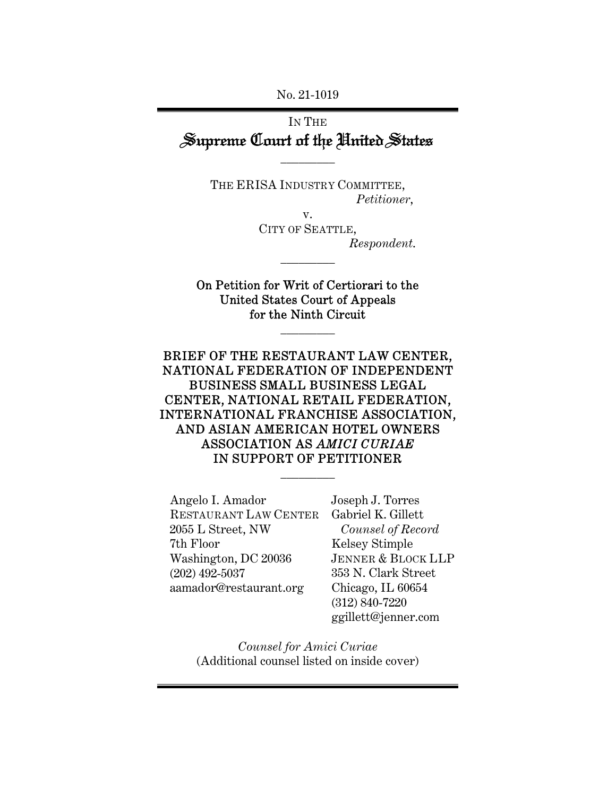No. 21-1019

# IN THE Supreme Court of the United States

THE ERISA INDUSTRY COMMITTEE, *Petitioner*,

 $\overline{\phantom{a}}$  . The set of  $\overline{\phantom{a}}$ 

v. CITY OF SEATTLE, *Respondent*.

On Petition for Writ of Certiorari to the United States Court of Appeals for the Ninth Circuit

 $\overline{\phantom{a}}$  . The set of  $\overline{\phantom{a}}$ 

 $\overline{\phantom{a}}$  . The set of  $\overline{\phantom{a}}$ 

## BRIEF OF THE RESTAURANT LAW CENTER, NATIONAL FEDERATION OF INDEPENDENT BUSINESS SMALL BUSINESS LEGAL CENTER, NATIONAL RETAIL FEDERATION, INTERNATIONAL FRANCHISE ASSOCIATION, AND ASIAN AMERICAN HOTEL OWNERS ASSOCIATION AS *AMICI CURIAE* IN SUPPORT OF PETITIONER

 $\overline{\phantom{a}}$  . The set of  $\overline{\phantom{a}}$ 

Angelo I. Amador RESTAURANT LAW CENTER Gabriel K. Gillett 2055 L Street, NW 7th Floor Washington, DC 20036 (202) 492-5037 aamador@restaurant.org

Joseph J. Torres *Counsel of Record*  Kelsey Stimple JENNER & BLOCK LLP 353 N. Clark Street Chicago, IL 60654 (312) 840-7220 ggillett@jenner.com

*Counsel for Amici Curiae*  (Additional counsel listed on inside cover)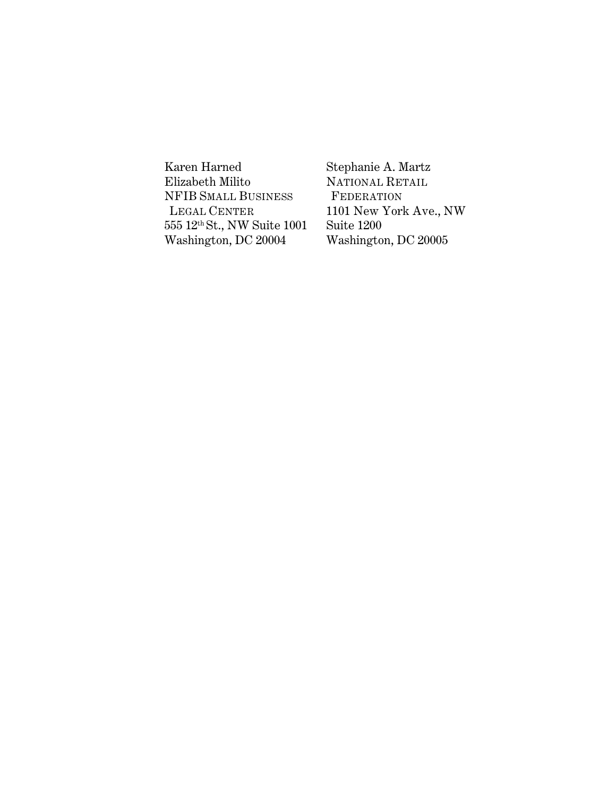Karen Harned Elizabeth Milito NFIB SMALL BUSINESS LEGAL CENTER 555 12th St., NW Suite 1001 Washington, DC 20004

Stephanie A. Martz NATIONAL RETAIL FEDERATION 1101 New York Ave., NW Suite 1200 Washington, DC 20005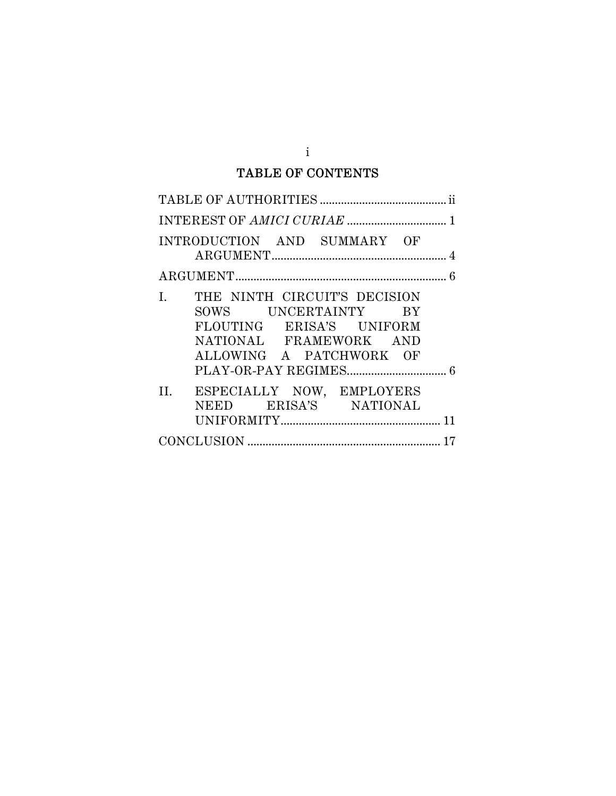## TABLE OF CONTENTS

| INTRODUCTION AND SUMMARY OF                                                                                                                |
|--------------------------------------------------------------------------------------------------------------------------------------------|
| 6                                                                                                                                          |
| THE NINTH CIRCUIT'S DECISION<br>I.<br>SOWS UNCERTAINTY BY<br>FLOUTING ERISA'S UNIFORM<br>NATIONAL FRAMEWORK AND<br>ALLOWING A PATCHWORK OF |
| II. ESPECIALLY NOW, EMPLOYERS<br>NEED ERISA'S NATIONAL                                                                                     |
|                                                                                                                                            |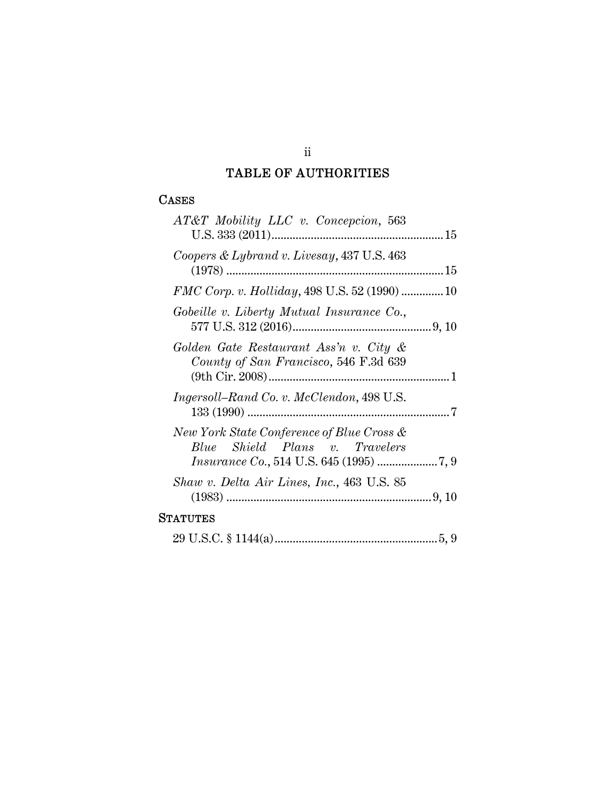## TABLE OF AUTHORITIES

## CASES

| $AT&T$ Mobility LLC v. Concepcion, 563                                          |  |
|---------------------------------------------------------------------------------|--|
| Coopers & Lybrand v. Livesay, 437 U.S. 463                                      |  |
| FMC Corp. v. Holliday, 498 U.S. 52 (1990) 10                                    |  |
| Gobeille v. Liberty Mutual Insurance Co.,                                       |  |
| Golden Gate Restaurant Ass'n v. City &<br>County of San Francisco, 546 F.3d 639 |  |
| Ingersoll–Rand Co. v. McClendon, 498 U.S.                                       |  |
| New York State Conference of Blue Cross &<br>Blue Shield Plans v. Travelers     |  |
| Shaw v. Delta Air Lines, Inc., 463 U.S. 85                                      |  |
| STATUTES                                                                        |  |

|--|--|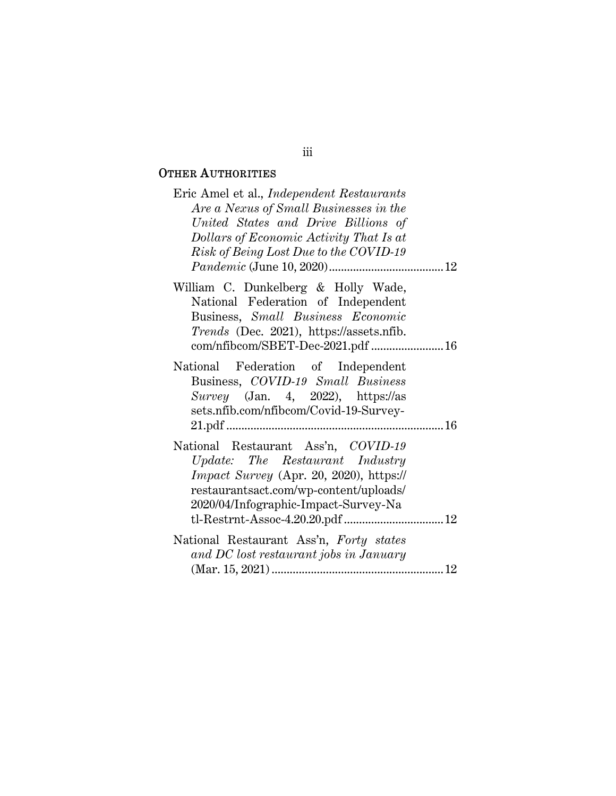## OTHER AUTHORITIES

| Eric Amel et al., <i>Independent Restaurants</i><br>Are a Nexus of Small Businesses in the<br>United States and Drive Billions of<br>Dollars of Economic Activity That Is at<br>Risk of Being Lost Due to the COVID-19 |
|------------------------------------------------------------------------------------------------------------------------------------------------------------------------------------------------------------------------|
|                                                                                                                                                                                                                        |
| William C. Dunkelberg & Holly Wade,<br>National Federation of Independent<br>Business, Small Business Economic<br><i>Trends</i> (Dec. 2021), https://assets.nfib.<br>com/nfibcom/SBET-Dec-2021.pdf  16                 |
| National Federation of Independent                                                                                                                                                                                     |
| Business, COVID-19 Small Business<br>Survey (Jan. 4, 2022), https://as<br>sets.nfib.com/nfibcom/Covid-19-Survey-                                                                                                       |
|                                                                                                                                                                                                                        |
| National Restaurant Ass'n, COVID-19<br>Update: The Restaurant Industry<br><i>Impact Survey</i> (Apr. 20, 2020), https://<br>restaurantsact.com/wp-content/uploads/<br>2020/04/Infographic-Impact-Survey-Na             |
|                                                                                                                                                                                                                        |
| National Restaurant Ass'n, Forty states<br>and DC lost restaurant jobs in January                                                                                                                                      |

## iii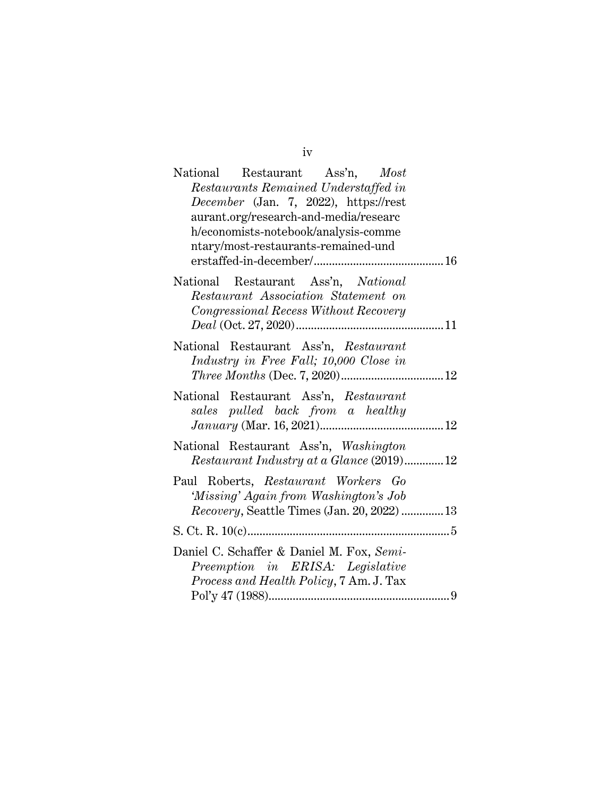iv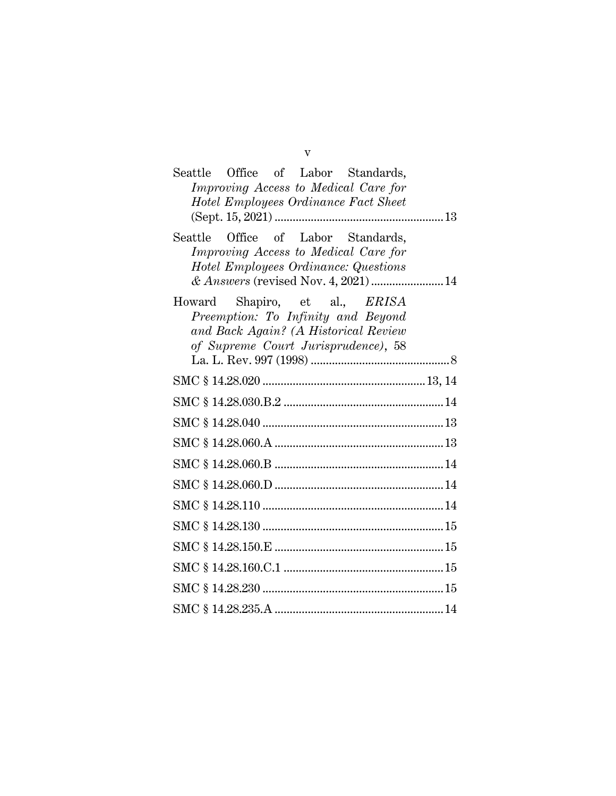| Seattle Office of Labor Standards,<br>Improving Access to Medical Care for                                                                                |
|-----------------------------------------------------------------------------------------------------------------------------------------------------------|
| Hotel Employees Ordinance Fact Sheet                                                                                                                      |
| Seattle Office of Labor Standards,<br>Improving Access to Medical Care for<br>Hotel Employees Ordinance: Questions<br>& Answers (revised Nov. 4, 2021) 14 |
| Howard Shapiro, et al., <i>ERISA</i><br>Preemption: To Infinity and Beyond<br>and Back Again? (A Historical Review<br>of Supreme Court Jurisprudence), 58 |
|                                                                                                                                                           |
|                                                                                                                                                           |
|                                                                                                                                                           |
|                                                                                                                                                           |
|                                                                                                                                                           |
|                                                                                                                                                           |
|                                                                                                                                                           |
|                                                                                                                                                           |
|                                                                                                                                                           |
|                                                                                                                                                           |
|                                                                                                                                                           |
|                                                                                                                                                           |

v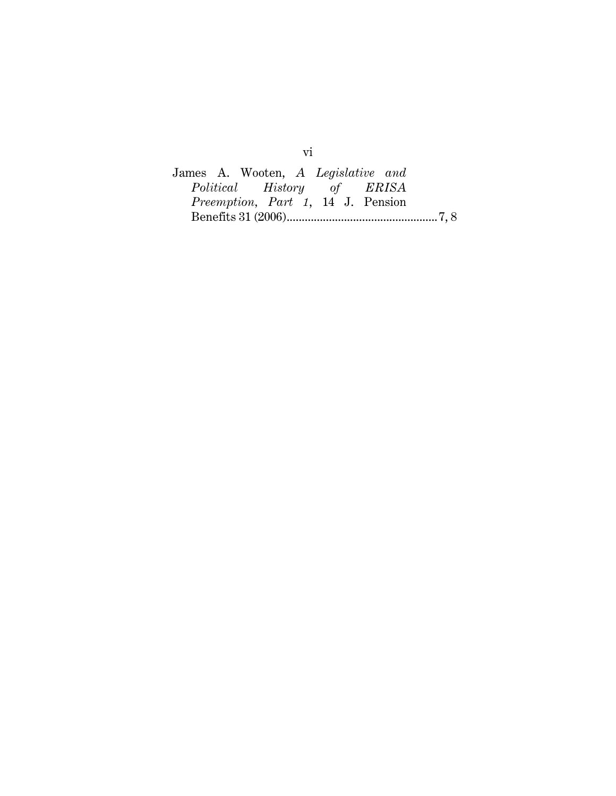James A. Wooten, *A Legislative and*   $History$ *Preemption, Part 1*, 14 J. Pension Benefits 31 (2006) .................................................. 7, 8

vi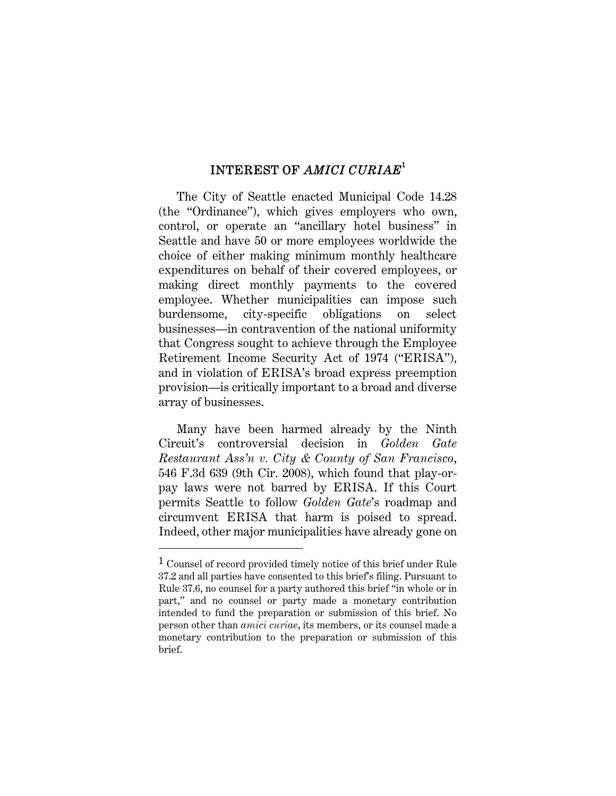## INTEREST OF *AMICI CURIAE*<sup>1</sup>

The City of Seattle enacted Municipal Code 14.28 (the "Ordinance"), which gives employers who own, control, or operate an "ancillary hotel business" in Seattle and have 50 or more employees worldwide the choice of either making minimum monthly healthcare expenditures on behalf of their covered employees, or making direct monthly payments to the covered employee. Whether municipalities can impose such burdensome, city-specific obligations on select businesses—in contravention of the national uniformity that Congress sought to achieve through the Employee Retirement Income Security Act of 1974 ("ERISA"), and in violation of ERISA's broad express preemption provision—is critically important to a broad and diverse array of businesses.

Many have been harmed already by the Ninth Circuit's controversial decision in *Golden Gate Restaurant Ass'n v. City & County of San Francisco*, 546 F.3d 639 (9th Cir. 2008), which found that play-orpay laws were not barred by ERISA. If this Court permits Seattle to follow *Golden Gate*'s roadmap and circumvent ERISA that harm is poised to spread. Indeed, other major municipalities have already gone on

<sup>1</sup> Counsel of record provided timely notice of this brief under Rule 37.2 and all parties have consented to this brief's filing. Pursuant to Rule 37.6, no counsel for a party authored this brief "in whole or in part," and no counsel or party made a monetary contribution intended to fund the preparation or submission of this brief. No person other than *amici curiae*, its members, or its counsel made a monetary contribution to the preparation or submission of this brief.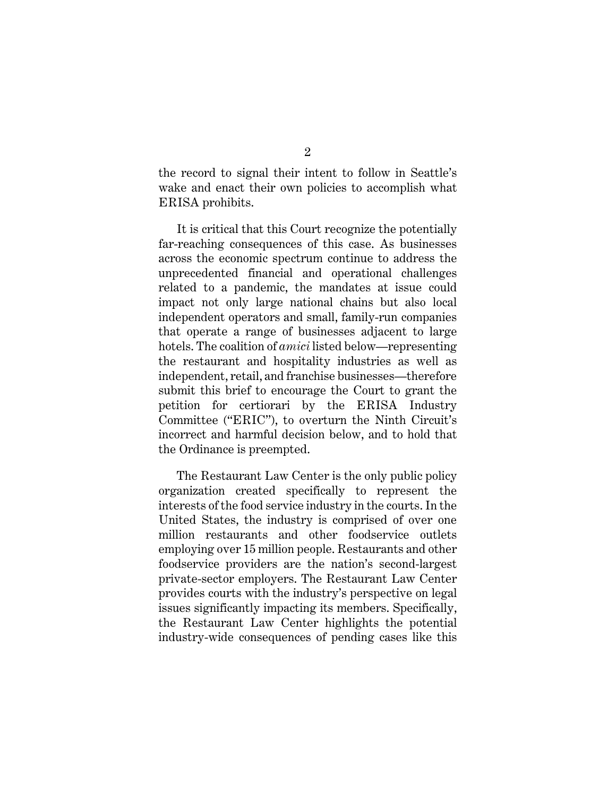the record to signal their intent to follow in Seattle's wake and enact their own policies to accomplish what ERISA prohibits.

It is critical that this Court recognize the potentially far-reaching consequences of this case. As businesses across the economic spectrum continue to address the unprecedented financial and operational challenges related to a pandemic, the mandates at issue could impact not only large national chains but also local independent operators and small, family-run companies that operate a range of businesses adjacent to large hotels. The coalition of *amici* listed below—representing the restaurant and hospitality industries as well as independent, retail, and franchise businesses—therefore submit this brief to encourage the Court to grant the petition for certiorari by the ERISA Industry Committee ("ERIC"), to overturn the Ninth Circuit's incorrect and harmful decision below, and to hold that the Ordinance is preempted.

The Restaurant Law Center is the only public policy organization created specifically to represent the interests of the food service industry in the courts. In the United States, the industry is comprised of over one million restaurants and other foodservice outlets employing over 15 million people. Restaurants and other foodservice providers are the nation's second-largest private-sector employers. The Restaurant Law Center provides courts with the industry's perspective on legal issues significantly impacting its members. Specifically, the Restaurant Law Center highlights the potential industry-wide consequences of pending cases like this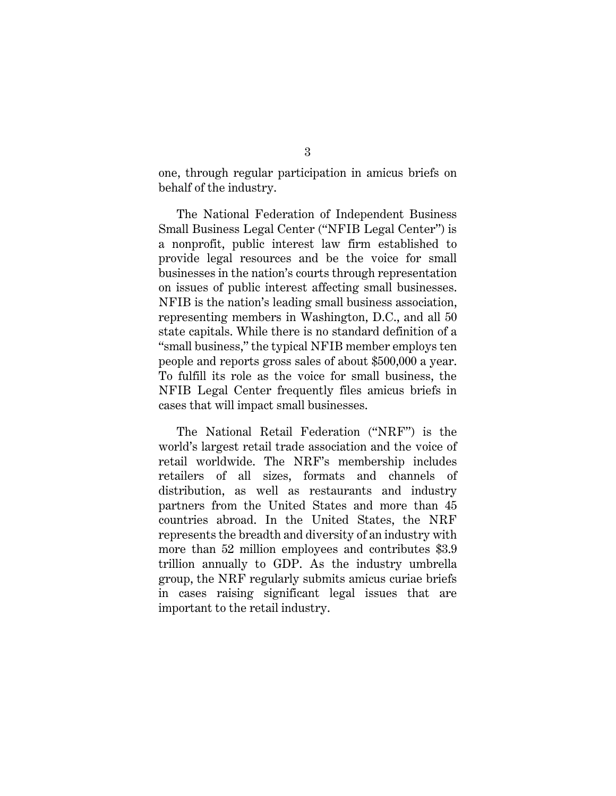one, through regular participation in amicus briefs on behalf of the industry.

The National Federation of Independent Business Small Business Legal Center ("NFIB Legal Center") is a nonprofit, public interest law firm established to provide legal resources and be the voice for small businesses in the nation's courts through representation on issues of public interest affecting small businesses. NFIB is the nation's leading small business association, representing members in Washington, D.C., and all 50 state capitals. While there is no standard definition of a "small business," the typical NFIB member employs ten people and reports gross sales of about \$500,000 a year. To fulfill its role as the voice for small business, the NFIB Legal Center frequently files amicus briefs in cases that will impact small businesses.

The National Retail Federation ("NRF") is the world's largest retail trade association and the voice of retail worldwide. The NRF's membership includes retailers of all sizes, formats and channels of distribution, as well as restaurants and industry partners from the United States and more than 45 countries abroad. In the United States, the NRF represents the breadth and diversity of an industry with more than 52 million employees and contributes \$3.9 trillion annually to GDP. As the industry umbrella group, the NRF regularly submits amicus curiae briefs in cases raising significant legal issues that are important to the retail industry.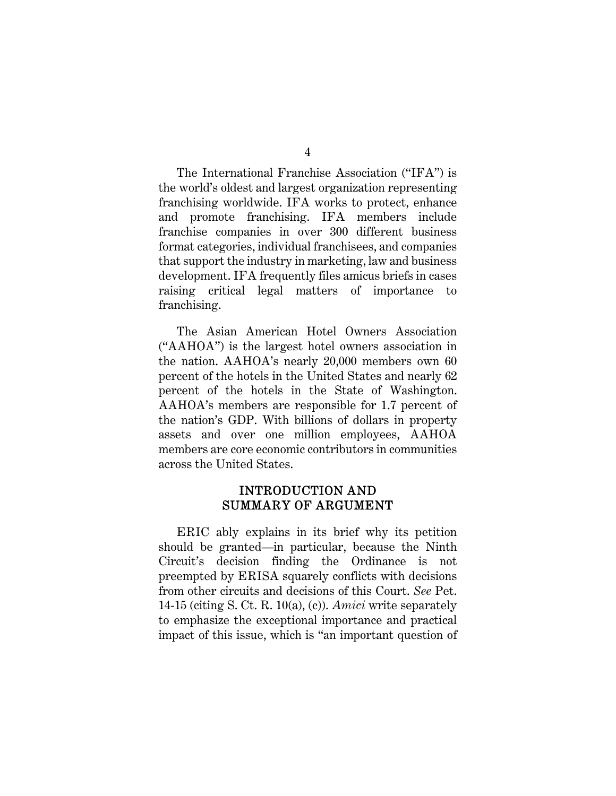The International Franchise Association ("IFA") is the world's oldest and largest organization representing franchising worldwide. IFA works to protect, enhance and promote franchising. IFA members include franchise companies in over 300 different business format categories, individual franchisees, and companies that support the industry in marketing, law and business development. IFA frequently files amicus briefs in cases raising critical legal matters of importance to franchising.

The Asian American Hotel Owners Association ("AAHOA") is the largest hotel owners association in the nation. AAHOA's nearly 20,000 members own 60 percent of the hotels in the United States and nearly 62 percent of the hotels in the State of Washington. AAHOA's members are responsible for 1.7 percent of the nation's GDP. With billions of dollars in property assets and over one million employees, AAHOA members are core economic contributors in communities across the United States.

### INTRODUCTION AND SUMMARY OF ARGUMENT

ERIC ably explains in its brief why its petition should be granted—in particular, because the Ninth Circuit's decision finding the Ordinance is not preempted by ERISA squarely conflicts with decisions from other circuits and decisions of this Court. *See* Pet. 14-15 (citing S. Ct. R. 10(a), (c)). *Amici* write separately to emphasize the exceptional importance and practical impact of this issue, which is "an important question of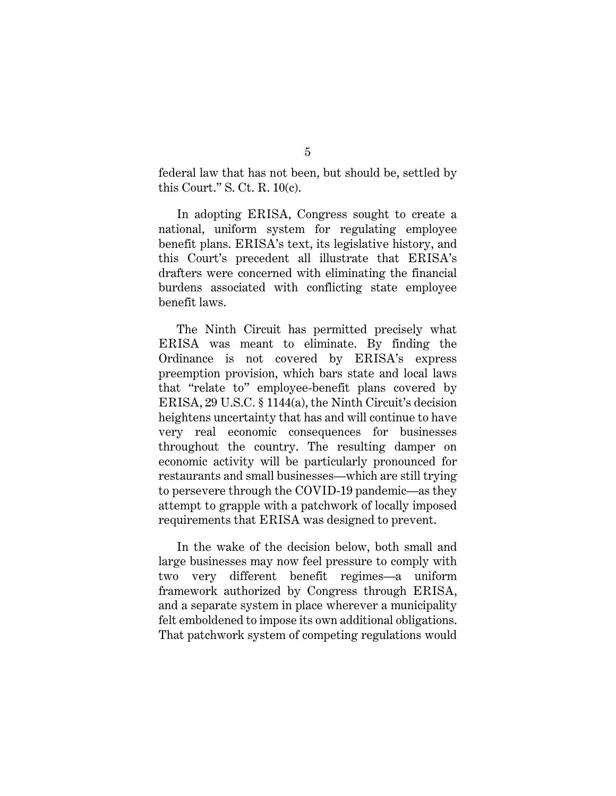federal law that has not been, but should be, settled by this Court." S. Ct. R. 10(c).

In adopting ERISA, Congress sought to create a national, uniform system for regulating employee benefit plans. ERISA's text, its legislative history, and this Court's precedent all illustrate that ERISA's drafters were concerned with eliminating the financial burdens associated with conflicting state employee benefit laws.

The Ninth Circuit has permitted precisely what ERISA was meant to eliminate. By finding the Ordinance is not covered by ERISA's express preemption provision, which bars state and local laws that "relate to" employee-benefit plans covered by ERISA, 29 U.S.C. § 1144(a), the Ninth Circuit's decision heightens uncertainty that has and will continue to have very real economic consequences for businesses throughout the country. The resulting damper on economic activity will be particularly pronounced for restaurants and small businesses—which are still trying to persevere through the COVID-19 pandemic—as they attempt to grapple with a patchwork of locally imposed requirements that ERISA was designed to prevent.

In the wake of the decision below, both small and large businesses may now feel pressure to comply with two very different benefit regimes—a uniform framework authorized by Congress through ERISA, and a separate system in place wherever a municipality felt emboldened to impose its own additional obligations. That patchwork system of competing regulations would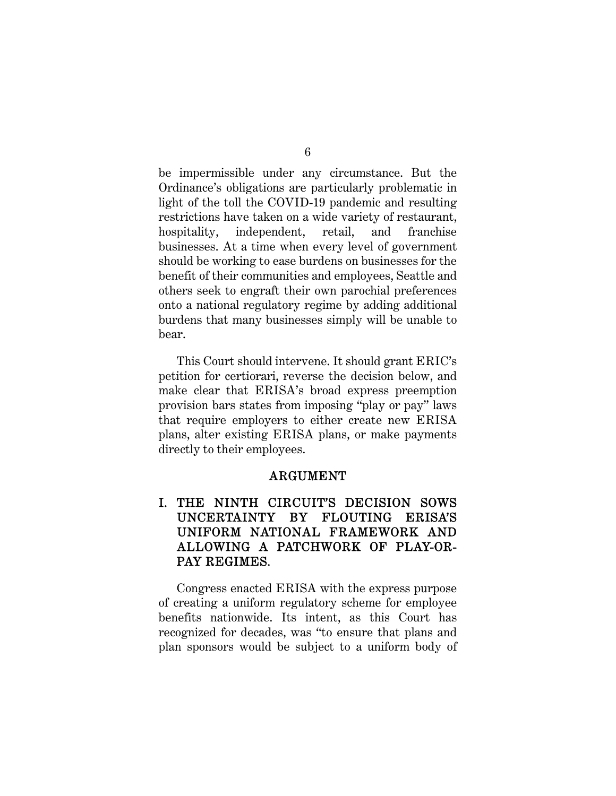be impermissible under any circumstance. But the Ordinance's obligations are particularly problematic in light of the toll the COVID-19 pandemic and resulting restrictions have taken on a wide variety of restaurant, hospitality, independent, retail, and franchise businesses. At a time when every level of government should be working to ease burdens on businesses for the benefit of their communities and employees, Seattle and others seek to engraft their own parochial preferences onto a national regulatory regime by adding additional burdens that many businesses simply will be unable to bear.

This Court should intervene. It should grant ERIC's petition for certiorari, reverse the decision below, and make clear that ERISA's broad express preemption provision bars states from imposing "play or pay" laws that require employers to either create new ERISA plans, alter existing ERISA plans, or make payments directly to their employees.

### ARGUMENT

## I. THE NINTH CIRCUIT'S DECISION SOWS UNCERTAINTY BY FLOUTING ERISA'S UNIFORM NATIONAL FRAMEWORK AND ALLOWING A PATCHWORK OF PLAY-OR-PAY REGIMES.

Congress enacted ERISA with the express purpose of creating a uniform regulatory scheme for employee benefits nationwide. Its intent, as this Court has recognized for decades, was "to ensure that plans and plan sponsors would be subject to a uniform body of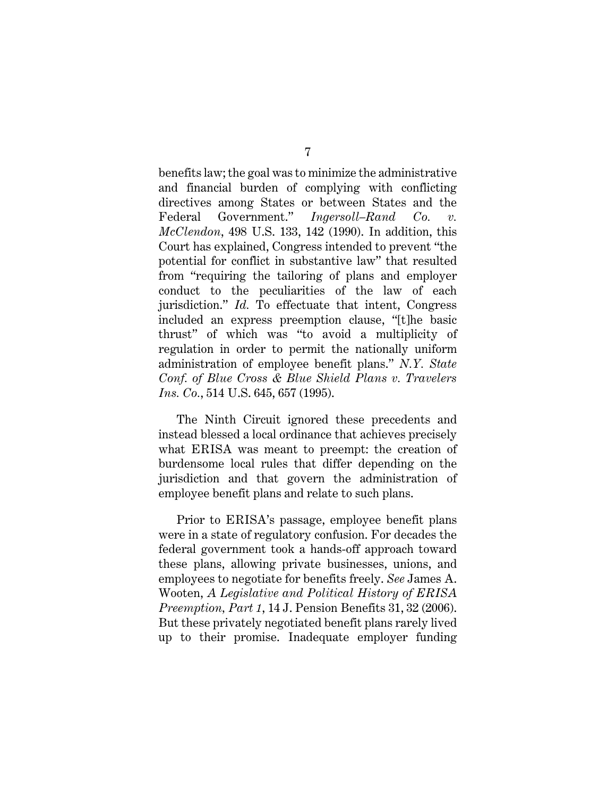benefits law; the goal was to minimize the administrative and financial burden of complying with conflicting directives among States or between States and the Federal Government." *Ingersoll–Rand Co. v. McClendon*, 498 U.S. 133, 142 (1990). In addition, this Court has explained, Congress intended to prevent "the potential for conflict in substantive law" that resulted from "requiring the tailoring of plans and employer conduct to the peculiarities of the law of each jurisdiction." *Id.* To effectuate that intent, Congress included an express preemption clause, "[t]he basic thrust" of which was "to avoid a multiplicity of regulation in order to permit the nationally uniform administration of employee benefit plans." *N.Y. State Conf. of Blue Cross & Blue Shield Plans v. Travelers Ins. Co.*, 514 U.S. 645, 657 (1995).

The Ninth Circuit ignored these precedents and instead blessed a local ordinance that achieves precisely what ERISA was meant to preempt: the creation of burdensome local rules that differ depending on the jurisdiction and that govern the administration of employee benefit plans and relate to such plans.

Prior to ERISA's passage, employee benefit plans were in a state of regulatory confusion. For decades the federal government took a hands-off approach toward these plans, allowing private businesses, unions, and employees to negotiate for benefits freely. *See* James A. Wooten, *A Legislative and Political History of ERISA Preemption, Part 1*, 14 J. Pension Benefits 31, 32 (2006). But these privately negotiated benefit plans rarely lived up to their promise. Inadequate employer funding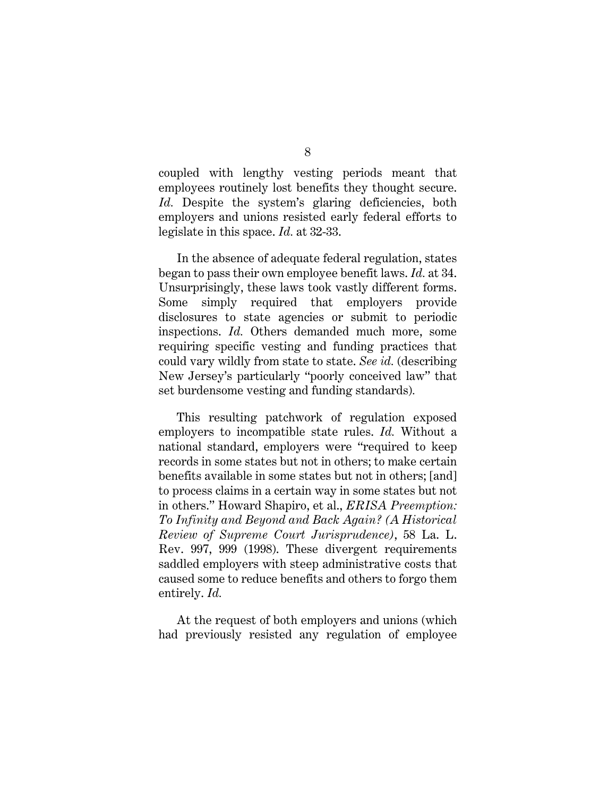coupled with lengthy vesting periods meant that employees routinely lost benefits they thought secure. Id. Despite the system's glaring deficiencies, both employers and unions resisted early federal efforts to legislate in this space. *Id.* at 32-33.

In the absence of adequate federal regulation, states began to pass their own employee benefit laws. *Id.* at 34. Unsurprisingly, these laws took vastly different forms. Some simply required that employers provide disclosures to state agencies or submit to periodic inspections. *Id.* Others demanded much more, some requiring specific vesting and funding practices that could vary wildly from state to state. *See id.* (describing New Jersey's particularly "poorly conceived law" that set burdensome vesting and funding standards)*.*

This resulting patchwork of regulation exposed employers to incompatible state rules. *Id.* Without a national standard, employers were "required to keep records in some states but not in others; to make certain benefits available in some states but not in others; [and] to process claims in a certain way in some states but not in others." Howard Shapiro, et al., *ERISA Preemption: To Infinity and Beyond and Back Again? (A Historical Review of Supreme Court Jurisprudence)*, 58 La. L. Rev. 997, 999 (1998). These divergent requirements saddled employers with steep administrative costs that caused some to reduce benefits and others to forgo them entirely. *Id.* 

At the request of both employers and unions (which had previously resisted any regulation of employee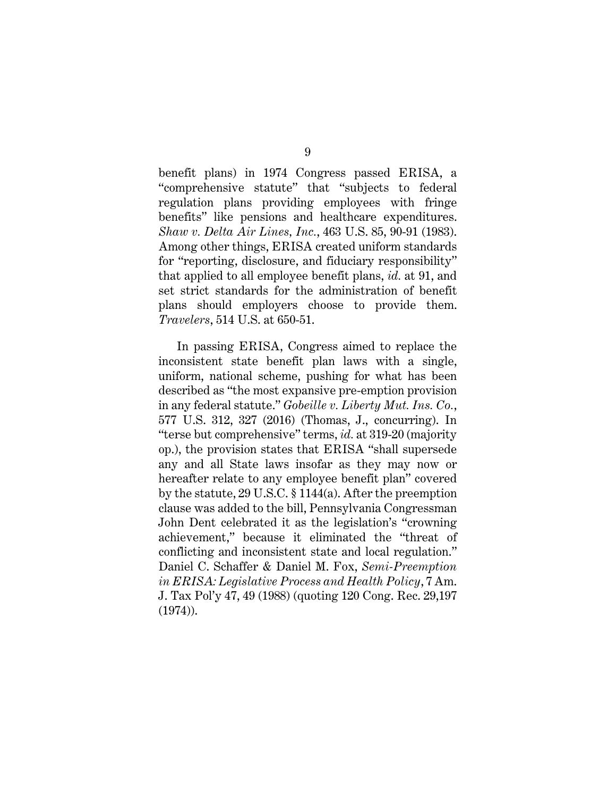benefit plans) in 1974 Congress passed ERISA, a "comprehensive statute" that "subjects to federal regulation plans providing employees with fringe benefits" like pensions and healthcare expenditures. *Shaw v. Delta Air Lines, Inc.*, 463 U.S. 85, 90-91 (1983). Among other things, ERISA created uniform standards for "reporting, disclosure, and fiduciary responsibility" that applied to all employee benefit plans, *id.* at 91, and set strict standards for the administration of benefit plans should employers choose to provide them. *Travelers*, 514 U.S. at 650-51.

In passing ERISA, Congress aimed to replace the inconsistent state benefit plan laws with a single, uniform, national scheme, pushing for what has been described as "the most expansive pre-emption provision in any federal statute." *Gobeille v. Liberty Mut. Ins. Co.*, 577 U.S. 312, 327 (2016) (Thomas, J., concurring). In "terse but comprehensive" terms, *id.* at 319-20 (majority op.), the provision states that ERISA "shall supersede any and all State laws insofar as they may now or hereafter relate to any employee benefit plan" covered by the statute, 29 U.S.C. § 1144(a). After the preemption clause was added to the bill, Pennsylvania Congressman John Dent celebrated it as the legislation's "crowning achievement," because it eliminated the "threat of conflicting and inconsistent state and local regulation." Daniel C. Schaffer & Daniel M. Fox, *Semi-Preemption in ERISA: Legislative Process and Health Policy*, 7 Am. J. Tax Pol'y 47, 49 (1988) (quoting 120 Cong. Rec. 29,197 (1974)).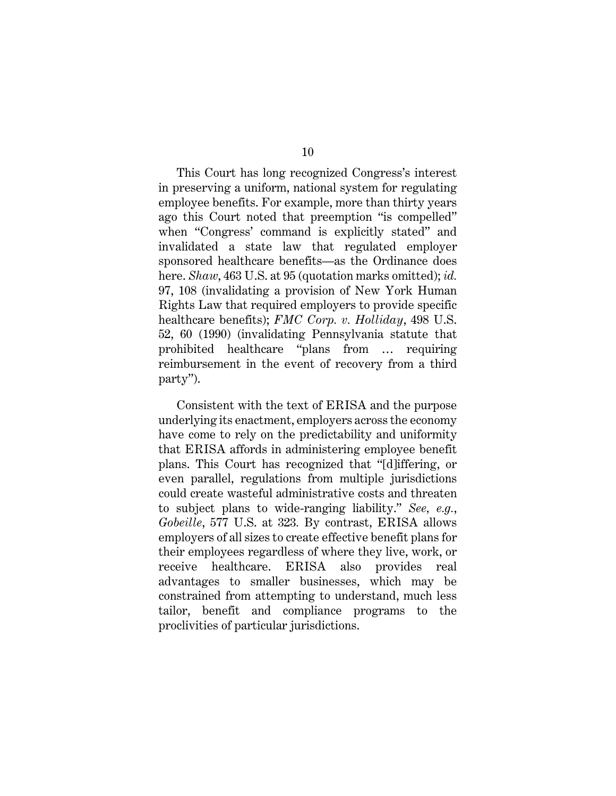This Court has long recognized Congress's interest in preserving a uniform, national system for regulating employee benefits. For example, more than thirty years ago this Court noted that preemption "is compelled" when "Congress' command is explicitly stated" and invalidated a state law that regulated employer sponsored healthcare benefits—as the Ordinance does here. *Shaw*, 463 U.S. at 95 (quotation marks omitted); *id.* 97, 108 (invalidating a provision of New York Human Rights Law that required employers to provide specific healthcare benefits); *FMC Corp. v. Holliday*, 498 U.S. 52, 60 (1990) (invalidating Pennsylvania statute that prohibited healthcare "plans from … requiring reimbursement in the event of recovery from a third party").

Consistent with the text of ERISA and the purpose underlying its enactment, employers across the economy have come to rely on the predictability and uniformity that ERISA affords in administering employee benefit plans. This Court has recognized that "[d]iffering, or even parallel, regulations from multiple jurisdictions could create wasteful administrative costs and threaten to subject plans to wide-ranging liability." *See, e.g.*, *Gobeille*, 577 U.S. at 323*.* By contrast, ERISA allows employers of all sizes to create effective benefit plans for their employees regardless of where they live, work, or receive healthcare. ERISA also provides real advantages to smaller businesses, which may be constrained from attempting to understand, much less tailor, benefit and compliance programs to the proclivities of particular jurisdictions.

10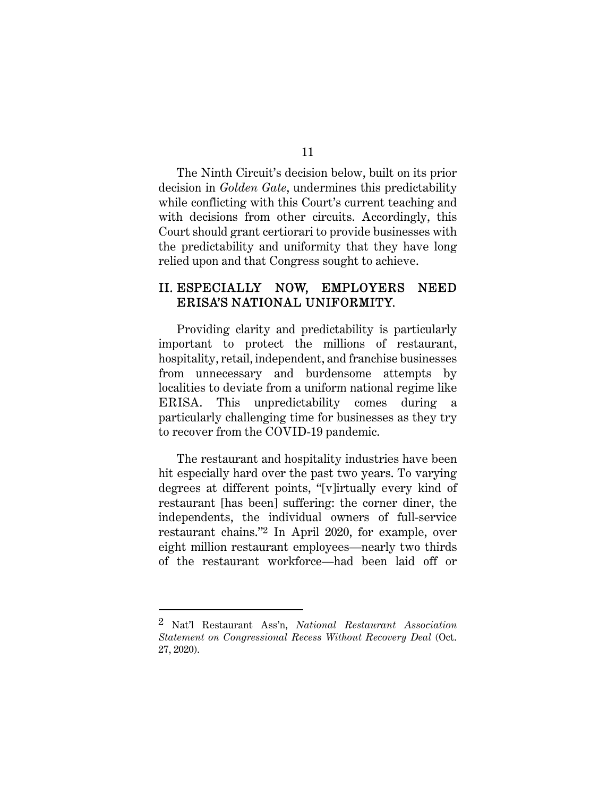11

The Ninth Circuit's decision below, built on its prior decision in *Golden Gate*, undermines this predictability while conflicting with this Court's current teaching and with decisions from other circuits. Accordingly, this Court should grant certiorari to provide businesses with the predictability and uniformity that they have long relied upon and that Congress sought to achieve.

### II. ESPECIALLY NOW, EMPLOYERS NEED ERISA'S NATIONAL UNIFORMITY.

Providing clarity and predictability is particularly important to protect the millions of restaurant, hospitality, retail, independent, and franchise businesses from unnecessary and burdensome attempts by localities to deviate from a uniform national regime like ERISA. This unpredictability comes during particularly challenging time for businesses as they try to recover from the COVID-19 pandemic.

The restaurant and hospitality industries have been hit especially hard over the past two years. To varying degrees at different points, "[v]irtually every kind of restaurant [has been] suffering: the corner diner, the independents, the individual owners of full-service restaurant chains."2 In April 2020, for example, over eight million restaurant employees—nearly two thirds of the restaurant workforce—had been laid off or

<sup>2</sup> Nat'l Restaurant Ass'n, *National Restaurant Association Statement on Congressional Recess Without Recovery Deal* (Oct. 27, 2020).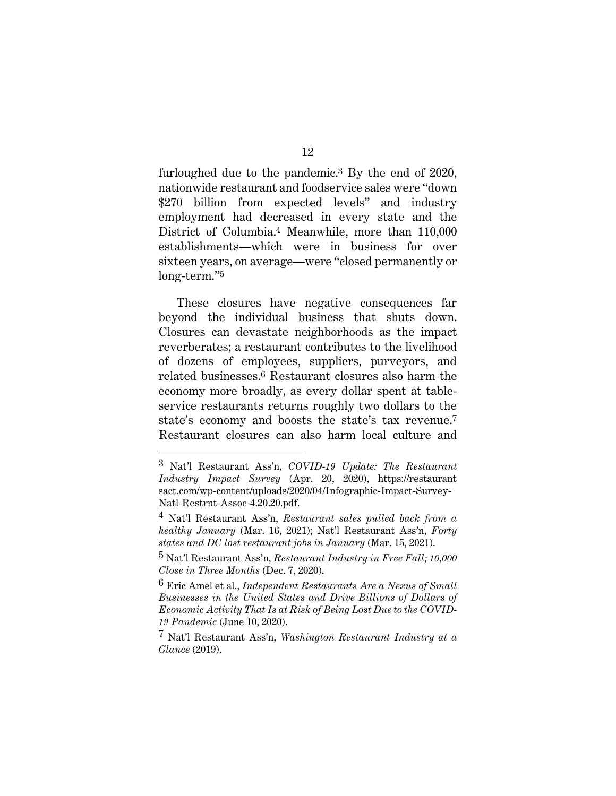furloughed due to the pandemic.3 By the end of 2020, nationwide restaurant and foodservice sales were "down \$270 billion from expected levels" and industry employment had decreased in every state and the District of Columbia.4 Meanwhile, more than 110,000 establishments—which were in business for over sixteen years, on average—were "closed permanently or long-term."5

These closures have negative consequences far beyond the individual business that shuts down. Closures can devastate neighborhoods as the impact reverberates; a restaurant contributes to the livelihood of dozens of employees, suppliers, purveyors, and related businesses.6 Restaurant closures also harm the economy more broadly, as every dollar spent at tableservice restaurants returns roughly two dollars to the state's economy and boosts the state's tax revenue.7 Restaurant closures can also harm local culture and

<sup>3</sup> Nat'l Restaurant Ass'n, *COVID-19 Update: The Restaurant Industry Impact Survey* (Apr. 20, 2020), https://restaurant sact.com/wp-content/uploads/2020/04/Infographic-Impact-Survey-Natl-Restrnt-Assoc-4.20.20.pdf.

<sup>4</sup> Nat'l Restaurant Ass'n, *Restaurant sales pulled back from a healthy January* (Mar. 16, 2021); Nat'l Restaurant Ass'n, *Forty states and DC lost restaurant jobs in January* (Mar. 15, 2021).

<sup>5</sup> Nat'l Restaurant Ass'n, *Restaurant Industry in Free Fall; 10,000 Close in Three Months* (Dec. 7, 2020).

<sup>6</sup> Eric Amel et al., *Independent Restaurants Are a Nexus of Small Businesses in the United States and Drive Billions of Dollars of Economic Activity That Is at Risk of Being Lost Due to the COVID-19 Pandemic* (June 10, 2020).

<sup>7</sup> Nat'l Restaurant Ass'n, *Washington Restaurant Industry at a Glance* (2019).

<sup>12</sup>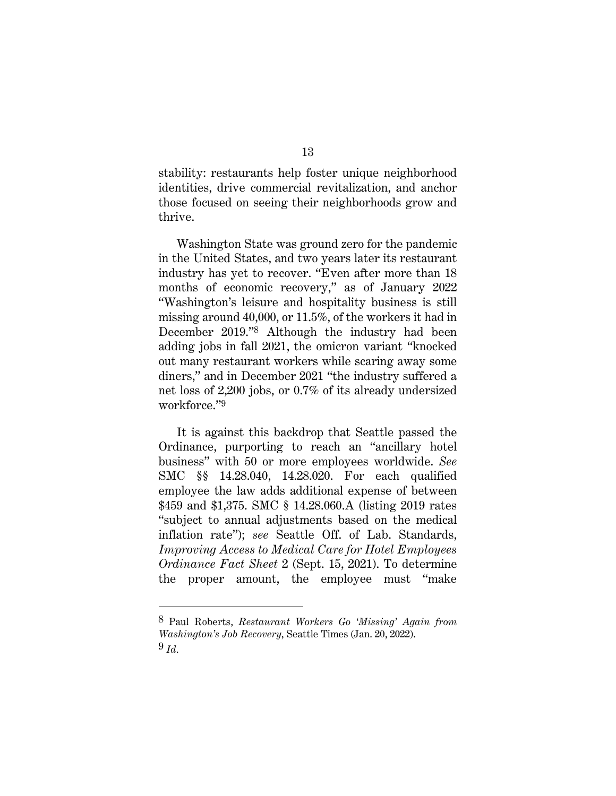stability: restaurants help foster unique neighborhood identities, drive commercial revitalization, and anchor those focused on seeing their neighborhoods grow and thrive.

Washington State was ground zero for the pandemic in the United States, and two years later its restaurant industry has yet to recover. "Even after more than 18 months of economic recovery," as of January 2022 "Washington's leisure and hospitality business is still missing around 40,000, or 11.5%, of the workers it had in December 2019."8 Although the industry had been adding jobs in fall 2021, the omicron variant "knocked out many restaurant workers while scaring away some diners," and in December 2021 "the industry suffered a net loss of 2,200 jobs, or 0.7% of its already undersized workforce."9

It is against this backdrop that Seattle passed the Ordinance, purporting to reach an "ancillary hotel business" with 50 or more employees worldwide. *See*  SMC §§ 14.28.040, 14.28.020. For each qualified employee the law adds additional expense of between \$459 and \$1,375. SMC § 14.28.060.A (listing 2019 rates "subject to annual adjustments based on the medical inflation rate"); *see* Seattle Off. of Lab. Standards, *Improving Access to Medical Care for Hotel Employees Ordinance Fact Sheet* 2 (Sept. 15, 2021). To determine the proper amount, the employee must "make

<sup>8</sup> Paul Roberts, *Restaurant Workers Go 'Missing' Again from Washington's Job Recovery*, Seattle Times (Jan. 20, 2022).  $9$   $Id.$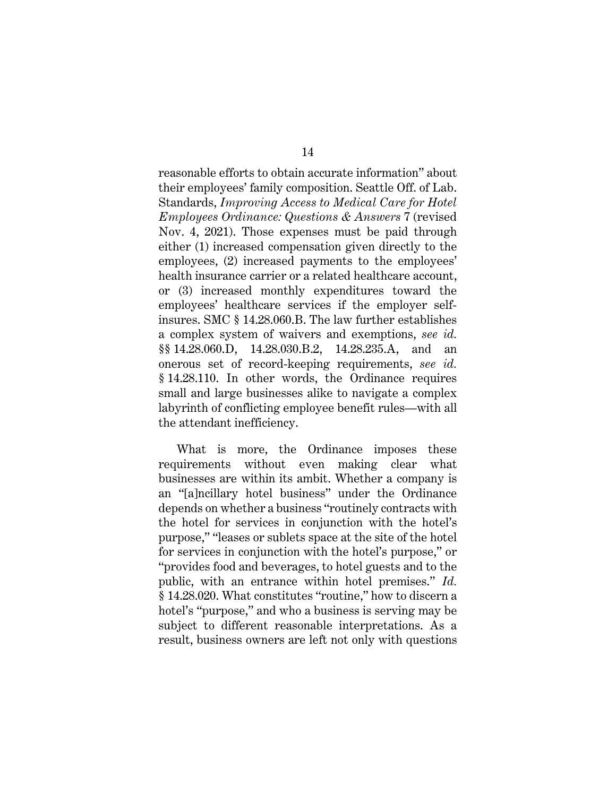reasonable efforts to obtain accurate information" about their employees' family composition. Seattle Off. of Lab. Standards, *Improving Access to Medical Care for Hotel Employees Ordinance: Questions & Answers* 7 (revised Nov. 4, 2021). Those expenses must be paid through either (1) increased compensation given directly to the employees, (2) increased payments to the employees' health insurance carrier or a related healthcare account. or (3) increased monthly expenditures toward the employees' healthcare services if the employer selfinsures. SMC § 14.28.060.B. The law further establishes a complex system of waivers and exemptions, *see id.*  §§ 14.28.060.D, 14.28.030.B.2, 14.28.235.A, and an onerous set of record-keeping requirements, *see id.*  § 14.28.110. In other words, the Ordinance requires small and large businesses alike to navigate a complex labyrinth of conflicting employee benefit rules—with all the attendant inefficiency.

What is more, the Ordinance imposes these requirements without even making clear what businesses are within its ambit. Whether a company is an "[a]ncillary hotel business" under the Ordinance depends on whether a business "routinely contracts with the hotel for services in conjunction with the hotel's purpose," "leases or sublets space at the site of the hotel for services in conjunction with the hotel's purpose," or "provides food and beverages, to hotel guests and to the public, with an entrance within hotel premises." *Id.*  § 14.28.020. What constitutes "routine," how to discern a hotel's "purpose," and who a business is serving may be subject to different reasonable interpretations. As a result, business owners are left not only with questions

14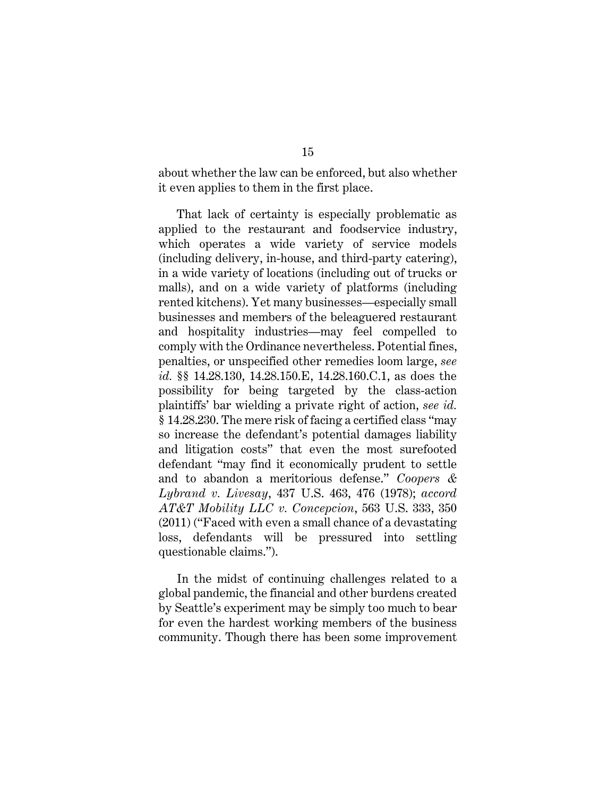about whether the law can be enforced, but also whether it even applies to them in the first place.

That lack of certainty is especially problematic as applied to the restaurant and foodservice industry, which operates a wide variety of service models (including delivery, in-house, and third-party catering), in a wide variety of locations (including out of trucks or malls), and on a wide variety of platforms (including rented kitchens). Yet many businesses—especially small businesses and members of the beleaguered restaurant and hospitality industries—may feel compelled to comply with the Ordinance nevertheless. Potential fines, penalties, or unspecified other remedies loom large, *see id.* §§ 14.28.130, 14.28.150.E, 14.28.160.C.1, as does the possibility for being targeted by the class-action plaintiffs' bar wielding a private right of action, *see id.*  § 14.28.230. The mere risk of facing a certified class "may so increase the defendant's potential damages liability and litigation costs" that even the most surefooted defendant "may find it economically prudent to settle and to abandon a meritorious defense." *Coopers & Lybrand v. Livesay*, 437 U.S. 463, 476 (1978); *accord AT&T Mobility LLC v. Concepcion*, 563 U.S. 333, 350 (2011) ("Faced with even a small chance of a devastating loss, defendants will be pressured into settling questionable claims.").

In the midst of continuing challenges related to a global pandemic, the financial and other burdens created by Seattle's experiment may be simply too much to bear for even the hardest working members of the business community. Though there has been some improvement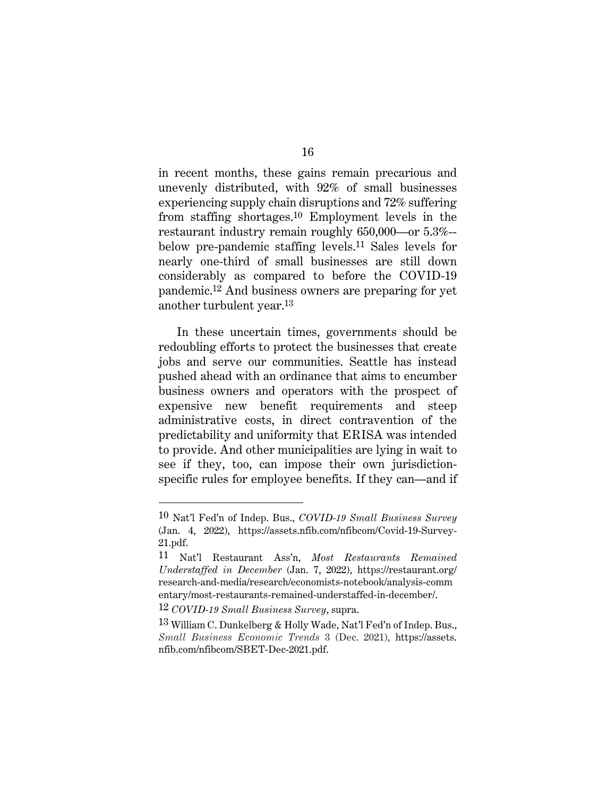in recent months, these gains remain precarious and unevenly distributed, with 92% of small businesses experiencing supply chain disruptions and 72% suffering from staffing shortages.10 Employment levels in the restaurant industry remain roughly 650,000—or 5.3%- below pre-pandemic staffing levels.11 Sales levels for nearly one-third of small businesses are still down considerably as compared to before the COVID-19 pandemic.12 And business owners are preparing for yet another turbulent year.13

In these uncertain times, governments should be redoubling efforts to protect the businesses that create jobs and serve our communities. Seattle has instead pushed ahead with an ordinance that aims to encumber business owners and operators with the prospect of expensive new benefit requirements and steep administrative costs, in direct contravention of the predictability and uniformity that ERISA was intended to provide. And other municipalities are lying in wait to see if they, too, can impose their own jurisdictionspecific rules for employee benefits. If they can—and if

<sup>10</sup> Nat'l Fed'n of Indep. Bus., *COVID-19 Small Business Survey* (Jan. 4, 2022), https://assets.nfib.com/nfibcom/Covid-19-Survey-21.pdf.

<sup>11</sup> Nat'l Restaurant Ass'n, *Most Restaurants Remained Understaffed in December* (Jan. 7, 2022), https://restaurant.org/ research-and-media/research/economists-notebook/analysis-comm entary/most-restaurants-remained-understaffed-in-december/.

<sup>12</sup> *COVID-19 Small Business Survey*, supra.

<sup>13</sup> William C. Dunkelberg & Holly Wade, Nat'l Fed'n of Indep. Bus., *Small Business Economic Trends* 3 (Dec. 2021), https://assets. nfib.com/nfibcom/SBET-Dec-2021.pdf.